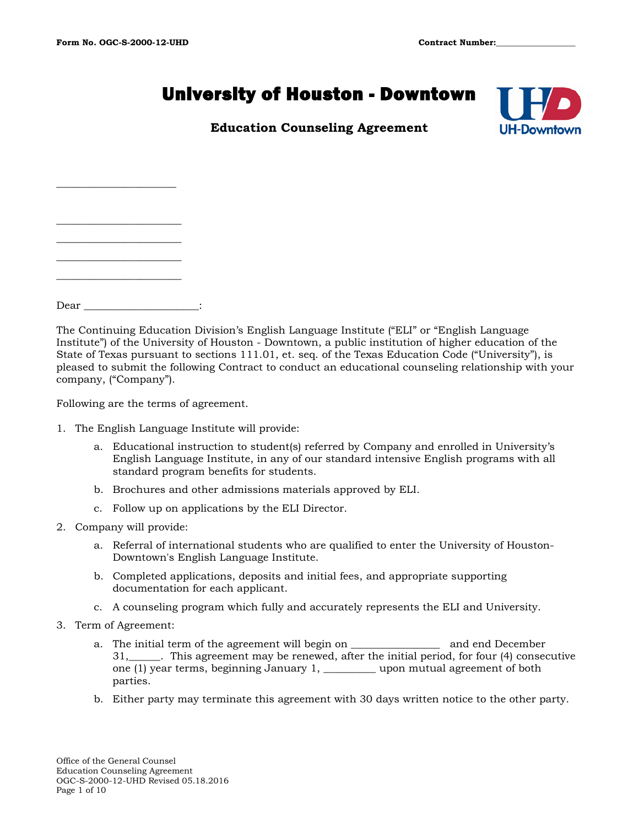$\overline{\phantom{a}}$  , where  $\overline{\phantom{a}}$  , where  $\overline{\phantom{a}}$ 

 $\overline{\phantom{a}}$  , where  $\overline{\phantom{a}}$  , where  $\overline{\phantom{a}}$ \_\_\_\_\_\_\_\_\_\_\_\_\_\_\_\_\_\_\_\_\_\_\_\_ \_\_\_\_\_\_\_\_\_\_\_\_\_\_\_\_\_\_\_\_\_\_\_\_

# University of Houston - Downtown



# **Education Counseling Agreement**

Dear \_\_\_\_\_\_\_\_\_\_\_\_\_\_\_\_\_\_\_\_\_\_:

The Continuing Education Division's English Language Institute ("ELI" or "English Language Institute") of the University of Houston - Downtown, a public institution of higher education of the State of Texas pursuant to sections 111.01, et. seq. of the Texas Education Code ("University"), is pleased to submit the following Contract to conduct an educational counseling relationship with your company, ("Company").

Following are the terms of agreement.

- 1. The English Language Institute will provide:
	- a. Educational instruction to student(s) referred by Company and enrolled in University's English Language Institute, in any of our standard intensive English programs with all standard program benefits for students.
	- b. Brochures and other admissions materials approved by ELI.
	- c. Follow up on applications by the ELI Director.
- 2. Company will provide:
	- a. Referral of international students who are qualified to enter the University of Houston-Downtown's English Language Institute.
	- b. Completed applications, deposits and initial fees, and appropriate supporting documentation for each applicant.
	- c. A counseling program which fully and accurately represents the ELI and University.
- 3. Term of Agreement:
	- a. The initial term of the agreement will begin on the same and end December 31,\_\_\_\_\_\_. This agreement may be renewed, after the initial period, for four (4) consecutive one (1) year terms, beginning January 1, \_\_\_\_\_\_\_\_\_\_ upon mutual agreement of both parties.
	- b. Either party may terminate this agreement with 30 days written notice to the other party.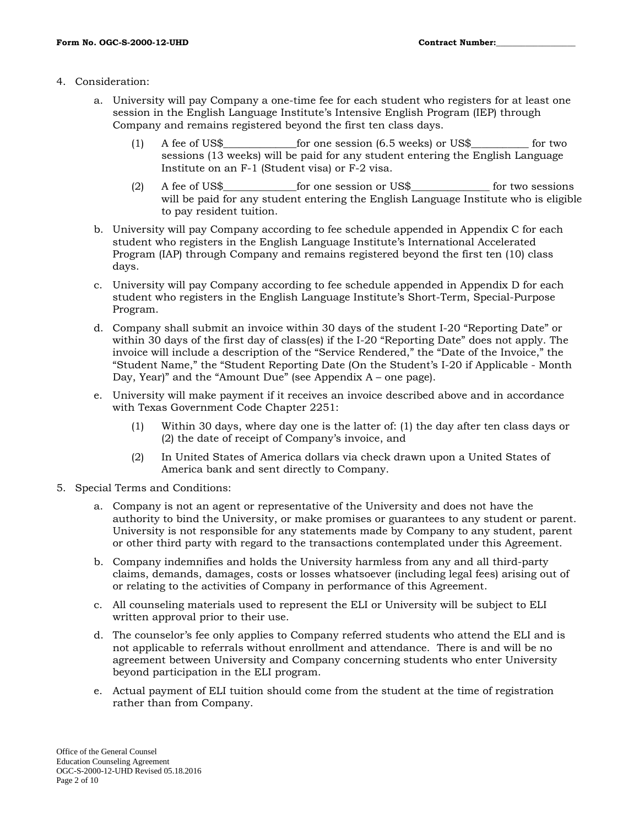#### 4. Consideration:

- a. University will pay Company a one-time fee for each student who registers for at least one session in the English Language Institute's Intensive English Program (IEP) through Company and remains registered beyond the first ten class days.
	- (1) A fee of US\$\_\_\_\_\_\_\_\_\_\_\_\_\_\_for one session (6.5 weeks) or US\$\_\_\_\_\_\_\_\_\_\_\_ for two sessions (13 weeks) will be paid for any student entering the English Language Institute on an F-1 (Student visa) or F-2 visa.
	- (2) A fee of US\$\_\_\_\_\_\_\_\_\_\_\_\_\_\_for one session or US\$\_\_\_\_\_\_\_\_\_\_\_\_\_\_\_ for two sessions will be paid for any student entering the English Language Institute who is eligible to pay resident tuition.
- b. University will pay Company according to fee schedule appended in Appendix C for each student who registers in the English Language Institute's International Accelerated Program (IAP) through Company and remains registered beyond the first ten (10) class days.
- c. University will pay Company according to fee schedule appended in Appendix D for each student who registers in the English Language Institute's Short-Term, Special-Purpose Program.
- d. Company shall submit an invoice within 30 days of the student I-20 "Reporting Date" or within 30 days of the first day of class(es) if the I-20 "Reporting Date" does not apply. The invoice will include a description of the "Service Rendered," the "Date of the Invoice," the "Student Name," the "Student Reporting Date (On the Student's I-20 if Applicable - Month Day, Year)" and the "Amount Due" (see Appendix A – one page).
- e. University will make payment if it receives an invoice described above and in accordance with Texas Government Code Chapter 2251:
	- (1) Within 30 days, where day one is the latter of: (1) the day after ten class days or (2) the date of receipt of Company's invoice, and
	- (2) In United States of America dollars via check drawn upon a United States of America bank and sent directly to Company.
- 5. Special Terms and Conditions:
	- a. Company is not an agent or representative of the University and does not have the authority to bind the University, or make promises or guarantees to any student or parent. University is not responsible for any statements made by Company to any student, parent or other third party with regard to the transactions contemplated under this Agreement.
	- b. Company indemnifies and holds the University harmless from any and all third-party claims, demands, damages, costs or losses whatsoever (including legal fees) arising out of or relating to the activities of Company in performance of this Agreement.
	- c. All counseling materials used to represent the ELI or University will be subject to ELI written approval prior to their use.
	- d. The counselor's fee only applies to Company referred students who attend the ELI and is not applicable to referrals without enrollment and attendance. There is and will be no agreement between University and Company concerning students who enter University beyond participation in the ELI program.
	- e. Actual payment of ELI tuition should come from the student at the time of registration rather than from Company.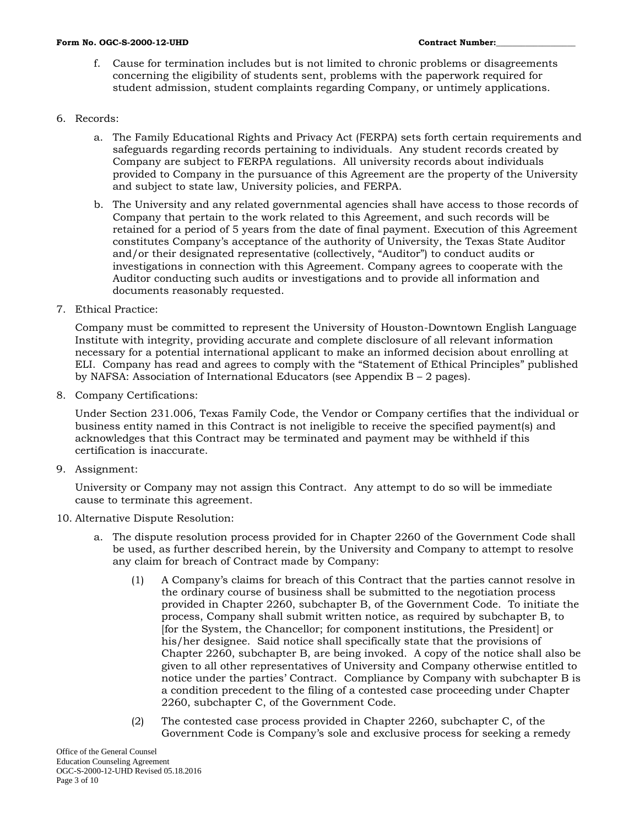f. Cause for termination includes but is not limited to chronic problems or disagreements concerning the eligibility of students sent, problems with the paperwork required for student admission, student complaints regarding Company, or untimely applications.

#### 6. Records:

- a. The Family Educational Rights and Privacy Act (FERPA) sets forth certain requirements and safeguards regarding records pertaining to individuals. Any student records created by Company are subject to FERPA regulations. All university records about individuals provided to Company in the pursuance of this Agreement are the property of the University and subject to state law, University policies, and FERPA.
- b. The University and any related governmental agencies shall have access to those records of Company that pertain to the work related to this Agreement, and such records will be retained for a period of 5 years from the date of final payment. Execution of this Agreement constitutes Company's acceptance of the authority of University, the Texas State Auditor and/or their designated representative (collectively, "Auditor") to conduct audits or investigations in connection with this Agreement. Company agrees to cooperate with the Auditor conducting such audits or investigations and to provide all information and documents reasonably requested.
- 7. Ethical Practice:

Company must be committed to represent the University of Houston-Downtown English Language Institute with integrity, providing accurate and complete disclosure of all relevant information necessary for a potential international applicant to make an informed decision about enrolling at ELI. Company has read and agrees to comply with the "Statement of Ethical Principles" published by NAFSA: Association of International Educators (see Appendix  $B - 2$  pages).

8. Company Certifications:

Under Section 231.006, Texas Family Code, the Vendor or Company certifies that the individual or business entity named in this Contract is not ineligible to receive the specified payment(s) and acknowledges that this Contract may be terminated and payment may be withheld if this certification is inaccurate.

9. Assignment:

University or Company may not assign this Contract. Any attempt to do so will be immediate cause to terminate this agreement.

#### 10. Alternative Dispute Resolution:

- a. The dispute resolution process provided for in Chapter 2260 of the Government Code shall be used, as further described herein, by the University and Company to attempt to resolve any claim for breach of Contract made by Company:
	- (1) A Company's claims for breach of this Contract that the parties cannot resolve in the ordinary course of business shall be submitted to the negotiation process provided in Chapter 2260, subchapter B, of the Government Code. To initiate the process, Company shall submit written notice, as required by subchapter B, to [for the System, the Chancellor; for component institutions, the President] or his/her designee. Said notice shall specifically state that the provisions of Chapter 2260, subchapter B, are being invoked. A copy of the notice shall also be given to all other representatives of University and Company otherwise entitled to notice under the parties' Contract. Compliance by Company with subchapter B is a condition precedent to the filing of a contested case proceeding under Chapter 2260, subchapter C, of the Government Code.
	- (2) The contested case process provided in Chapter 2260, subchapter C, of the Government Code is Company's sole and exclusive process for seeking a remedy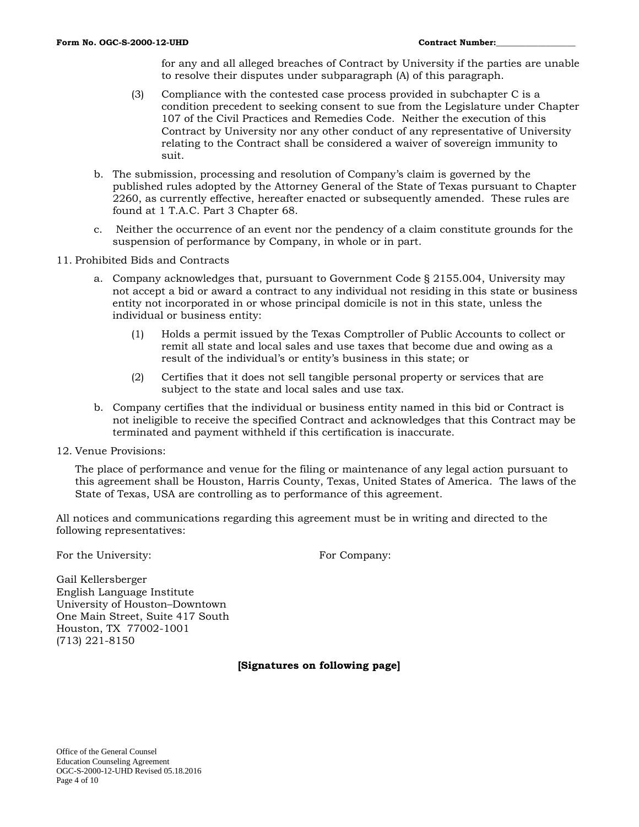for any and all alleged breaches of Contract by University if the parties are unable to resolve their disputes under subparagraph (A) of this paragraph.

- (3) Compliance with the contested case process provided in subchapter C is a condition precedent to seeking consent to sue from the Legislature under Chapter 107 of the Civil Practices and Remedies Code. Neither the execution of this Contract by University nor any other conduct of any representative of University relating to the Contract shall be considered a waiver of sovereign immunity to suit.
- b. The submission, processing and resolution of Company's claim is governed by the published rules adopted by the Attorney General of the State of Texas pursuant to Chapter 2260, as currently effective, hereafter enacted or subsequently amended. These rules are found at 1 T.A.C. Part 3 Chapter 68.
- c. Neither the occurrence of an event nor the pendency of a claim constitute grounds for the suspension of performance by Company, in whole or in part.
- 11. Prohibited Bids and Contracts
	- a. Company acknowledges that, pursuant to Government Code § 2155.004, University may not accept a bid or award a contract to any individual not residing in this state or business entity not incorporated in or whose principal domicile is not in this state, unless the individual or business entity:
		- (1) Holds a permit issued by the Texas Comptroller of Public Accounts to collect or remit all state and local sales and use taxes that become due and owing as a result of the individual's or entity's business in this state; or
		- (2) Certifies that it does not sell tangible personal property or services that are subject to the state and local sales and use tax.
	- b. Company certifies that the individual or business entity named in this bid or Contract is not ineligible to receive the specified Contract and acknowledges that this Contract may be terminated and payment withheld if this certification is inaccurate.
- 12. Venue Provisions:

The place of performance and venue for the filing or maintenance of any legal action pursuant to this agreement shall be Houston, Harris County, Texas, United States of America. The laws of the State of Texas, USA are controlling as to performance of this agreement.

All notices and communications regarding this agreement must be in writing and directed to the following representatives:

For the University: For Company:

Gail Kellersberger English Language Institute University of Houston–Downtown One Main Street, Suite 417 South Houston, TX 77002-1001 (713) 221-8150

**[Signatures on following page]**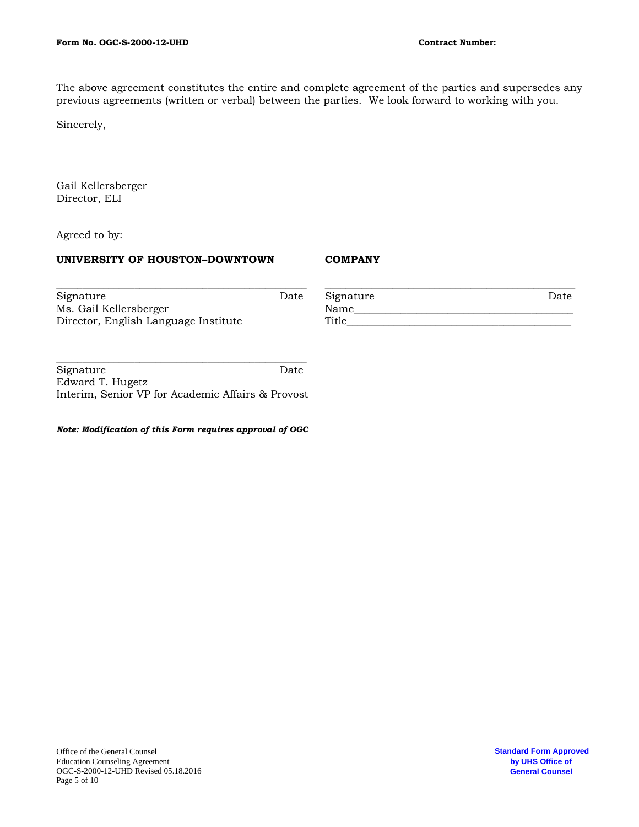The above agreement constitutes the entire and complete agreement of the parties and supersedes any previous agreements (written or verbal) between the parties. We look forward to working with you.

Sincerely,

Gail Kellersberger Director, ELI

Agreed to by:

## **UNIVERSITY OF HOUSTON–DOWNTOWN**

#### **COMPANY**

| Signature                            | Date | Signature | Date |
|--------------------------------------|------|-----------|------|
| Ms. Gail Kellersberger               |      | Name      |      |
| Director, English Language Institute |      | Title     |      |

**\_\_\_\_\_\_\_\_\_\_\_\_\_\_\_\_\_\_\_\_\_\_\_\_\_\_\_\_\_\_\_\_\_\_\_\_\_\_\_\_\_\_\_\_\_\_\_\_** Signature Date Edward T. Hugetz Interim, Senior VP for Academic Affairs & Provost

*Note: Modification of this Form requires approval of OGC*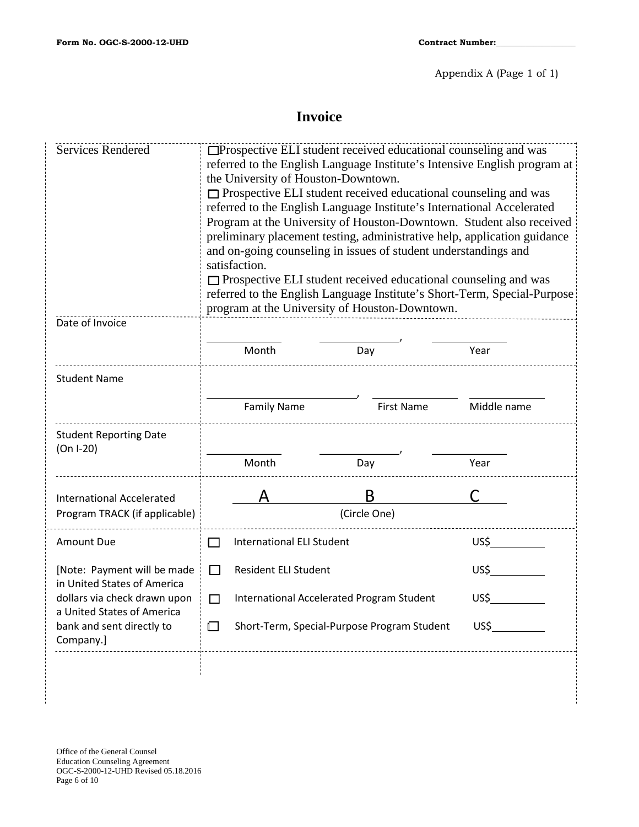# **Invoice**

| <b>Services Rendered</b>                                   | □Prospective ELI student received educational counseling and was<br>referred to the English Language Institute's Intensive English program at<br>the University of Houston-Downtown.<br>$\Box$ Prospective ELI student received educational counseling and was<br>referred to the English Language Institute's International Accelerated<br>Program at the University of Houston-Downtown. Student also received<br>preliminary placement testing, administrative help, application guidance<br>and on-going counseling in issues of student understandings and<br>satisfaction.<br>$\Box$ Prospective ELI student received educational counseling and was<br>referred to the English Language Institute's Short-Term, Special-Purpose<br>program at the University of Houston-Downtown. |                   |             |  |  |  |
|------------------------------------------------------------|------------------------------------------------------------------------------------------------------------------------------------------------------------------------------------------------------------------------------------------------------------------------------------------------------------------------------------------------------------------------------------------------------------------------------------------------------------------------------------------------------------------------------------------------------------------------------------------------------------------------------------------------------------------------------------------------------------------------------------------------------------------------------------------|-------------------|-------------|--|--|--|
| Date of Invoice                                            |                                                                                                                                                                                                                                                                                                                                                                                                                                                                                                                                                                                                                                                                                                                                                                                          |                   |             |  |  |  |
|                                                            | Month                                                                                                                                                                                                                                                                                                                                                                                                                                                                                                                                                                                                                                                                                                                                                                                    | Day               | Year        |  |  |  |
| <b>Student Name</b>                                        |                                                                                                                                                                                                                                                                                                                                                                                                                                                                                                                                                                                                                                                                                                                                                                                          |                   |             |  |  |  |
|                                                            | <b>Family Name</b>                                                                                                                                                                                                                                                                                                                                                                                                                                                                                                                                                                                                                                                                                                                                                                       | <b>First Name</b> | Middle name |  |  |  |
| <b>Student Reporting Date</b><br>$(On I-20)$               |                                                                                                                                                                                                                                                                                                                                                                                                                                                                                                                                                                                                                                                                                                                                                                                          |                   |             |  |  |  |
|                                                            | Month                                                                                                                                                                                                                                                                                                                                                                                                                                                                                                                                                                                                                                                                                                                                                                                    | Day               | Year        |  |  |  |
| <b>International Accelerated</b>                           |                                                                                                                                                                                                                                                                                                                                                                                                                                                                                                                                                                                                                                                                                                                                                                                          | B                 |             |  |  |  |
| Program TRACK (if applicable)                              | (Circle One)                                                                                                                                                                                                                                                                                                                                                                                                                                                                                                                                                                                                                                                                                                                                                                             |                   |             |  |  |  |
| Amount Due                                                 | <b>International ELI Student</b><br>$\mathbf{1}$                                                                                                                                                                                                                                                                                                                                                                                                                                                                                                                                                                                                                                                                                                                                         | US\$              |             |  |  |  |
| [Note: Payment will be made<br>in United States of America | □<br><b>Resident ELI Student</b>                                                                                                                                                                                                                                                                                                                                                                                                                                                                                                                                                                                                                                                                                                                                                         | US\$              |             |  |  |  |
| dollars via check drawn upon<br>a United States of America | International Accelerated Program Student<br>П                                                                                                                                                                                                                                                                                                                                                                                                                                                                                                                                                                                                                                                                                                                                           | US\$              |             |  |  |  |
| bank and sent directly to<br>Company.]                     | Short-Term, Special-Purpose Program Student<br>US\$<br>$\Box$                                                                                                                                                                                                                                                                                                                                                                                                                                                                                                                                                                                                                                                                                                                            |                   |             |  |  |  |
|                                                            |                                                                                                                                                                                                                                                                                                                                                                                                                                                                                                                                                                                                                                                                                                                                                                                          |                   |             |  |  |  |
|                                                            |                                                                                                                                                                                                                                                                                                                                                                                                                                                                                                                                                                                                                                                                                                                                                                                          |                   |             |  |  |  |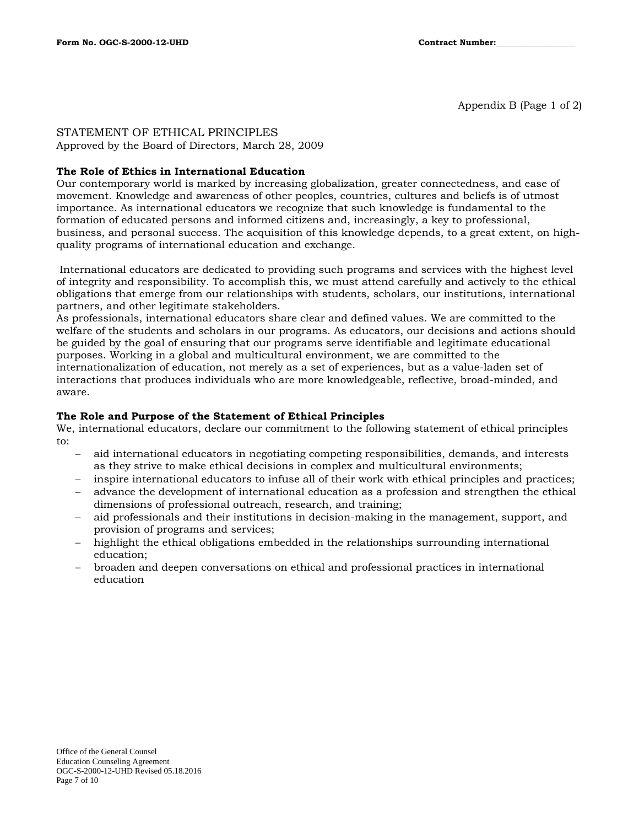Appendix B (Page 1 of 2)

## STATEMENT OF ETHICAL PRINCIPLES

Approved by the Board of Directors, March 28, 2009

## **The Role of Ethics in International Education**

Our contemporary world is marked by increasing globalization, greater connectedness, and ease of movement. Knowledge and awareness of other peoples, countries, cultures and beliefs is of utmost importance. As international educators we recognize that such knowledge is fundamental to the formation of educated persons and informed citizens and, increasingly, a key to professional, business, and personal success. The acquisition of this knowledge depends, to a great extent, on highquality programs of international education and exchange.

International educators are dedicated to providing such programs and services with the highest level of integrity and responsibility. To accomplish this, we must attend carefully and actively to the ethical obligations that emerge from our relationships with students, scholars, our institutions, international partners, and other legitimate stakeholders.

As professionals, international educators share clear and defined values. We are committed to the welfare of the students and scholars in our programs. As educators, our decisions and actions should be guided by the goal of ensuring that our programs serve identifiable and legitimate educational purposes. Working in a global and multicultural environment, we are committed to the internationalization of education, not merely as a set of experiences, but as a value-laden set of interactions that produces individuals who are more knowledgeable, reflective, broad-minded, and aware.

## **The Role and Purpose of the Statement of Ethical Principles**

We, international educators, declare our commitment to the following statement of ethical principles to:

- − aid international educators in negotiating competing responsibilities, demands, and interests as they strive to make ethical decisions in complex and multicultural environments;
- inspire international educators to infuse all of their work with ethical principles and practices;
- − advance the development of international education as a profession and strengthen the ethical dimensions of professional outreach, research, and training;
- aid professionals and their institutions in decision-making in the management, support, and provision of programs and services;
- − highlight the ethical obligations embedded in the relationships surrounding international education;
- − broaden and deepen conversations on ethical and professional practices in international education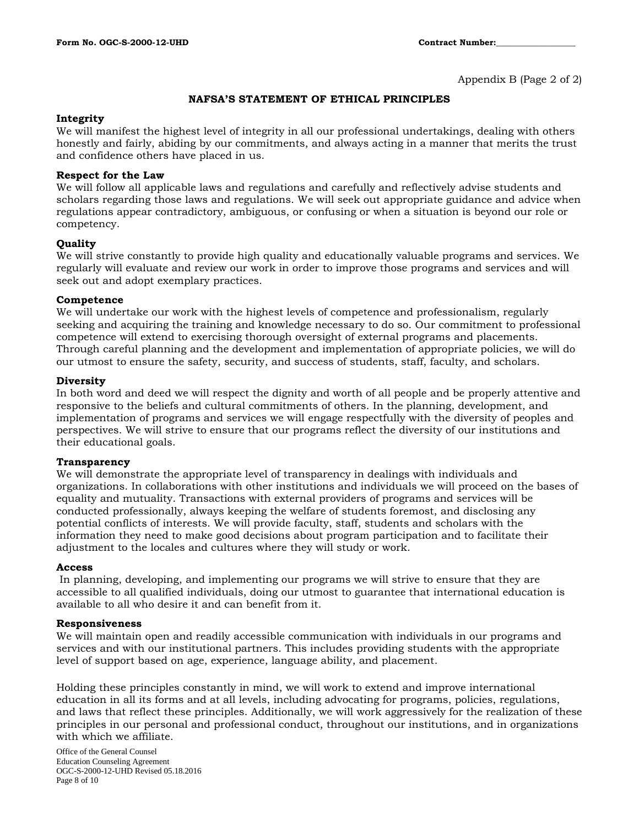Appendix B (Page 2 of 2)

#### **NAFSA'S STATEMENT OF ETHICAL PRINCIPLES**

#### **Integrity**

We will manifest the highest level of integrity in all our professional undertakings, dealing with others honestly and fairly, abiding by our commitments, and always acting in a manner that merits the trust and confidence others have placed in us.

#### **Respect for the Law**

We will follow all applicable laws and regulations and carefully and reflectively advise students and scholars regarding those laws and regulations. We will seek out appropriate guidance and advice when regulations appear contradictory, ambiguous, or confusing or when a situation is beyond our role or competency.

#### **Quality**

We will strive constantly to provide high quality and educationally valuable programs and services. We regularly will evaluate and review our work in order to improve those programs and services and will seek out and adopt exemplary practices.

#### **Competence**

We will undertake our work with the highest levels of competence and professionalism, regularly seeking and acquiring the training and knowledge necessary to do so. Our commitment to professional competence will extend to exercising thorough oversight of external programs and placements. Through careful planning and the development and implementation of appropriate policies, we will do our utmost to ensure the safety, security, and success of students, staff, faculty, and scholars.

#### **Diversity**

In both word and deed we will respect the dignity and worth of all people and be properly attentive and responsive to the beliefs and cultural commitments of others. In the planning, development, and implementation of programs and services we will engage respectfully with the diversity of peoples and perspectives. We will strive to ensure that our programs reflect the diversity of our institutions and their educational goals.

#### **Transparency**

We will demonstrate the appropriate level of transparency in dealings with individuals and organizations. In collaborations with other institutions and individuals we will proceed on the bases of equality and mutuality. Transactions with external providers of programs and services will be conducted professionally, always keeping the welfare of students foremost, and disclosing any potential conflicts of interests. We will provide faculty, staff, students and scholars with the information they need to make good decisions about program participation and to facilitate their adjustment to the locales and cultures where they will study or work.

#### **Access**

In planning, developing, and implementing our programs we will strive to ensure that they are accessible to all qualified individuals, doing our utmost to guarantee that international education is available to all who desire it and can benefit from it.

#### **Responsiveness**

We will maintain open and readily accessible communication with individuals in our programs and services and with our institutional partners. This includes providing students with the appropriate level of support based on age, experience, language ability, and placement.

Holding these principles constantly in mind, we will work to extend and improve international education in all its forms and at all levels, including advocating for programs, policies, regulations, and laws that reflect these principles. Additionally, we will work aggressively for the realization of these principles in our personal and professional conduct, throughout our institutions, and in organizations with which we affiliate.

Office of the General Counsel Education Counseling Agreement OGC-S-2000-12-UHD Revised 05.18.2016 Page 8 of 10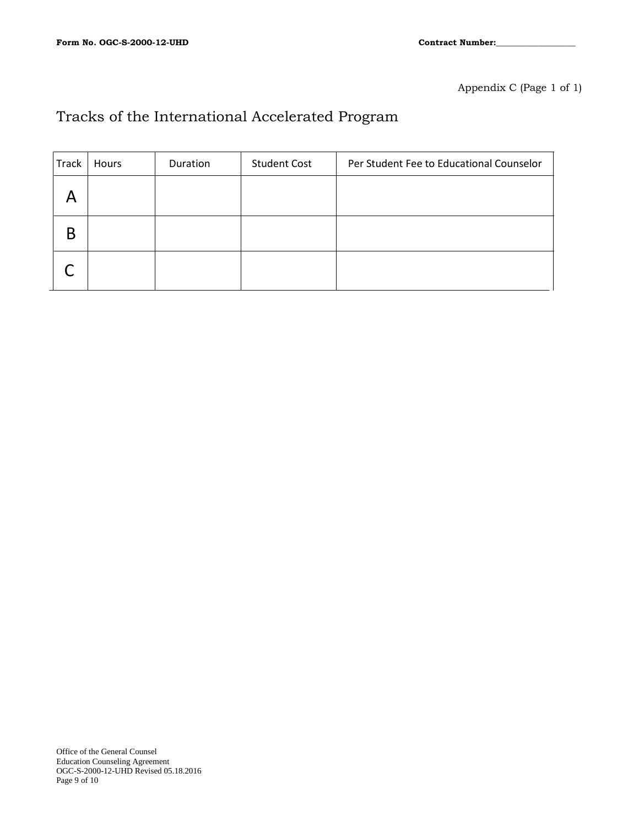Appendix C (Page 1 of 1)

# Tracks of the International Accelerated Program

| Track | Hours | Duration | <b>Student Cost</b> | Per Student Fee to Educational Counselor |
|-------|-------|----------|---------------------|------------------------------------------|
|       |       |          |                     |                                          |
|       |       |          |                     |                                          |
|       |       |          |                     |                                          |